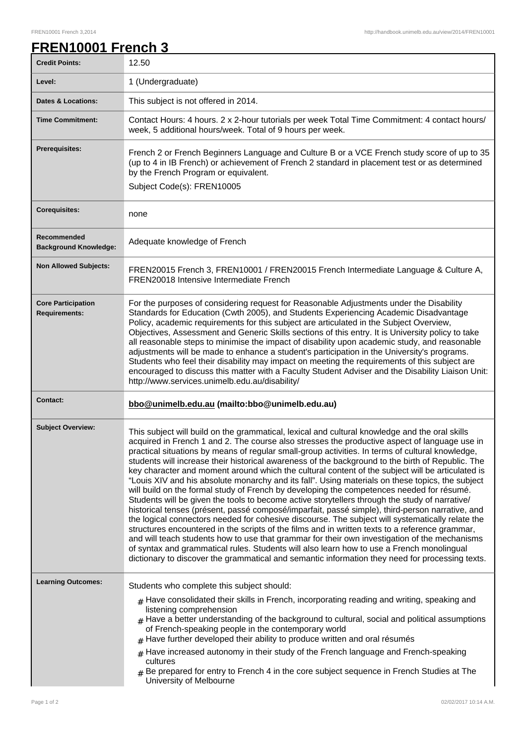## **FREN10001 French 3**

| <b>Credit Points:</b>                             | 12.50                                                                                                                                                                                                                                                                                                                                                                                                                                                                                                                                                                                                                                                                                                                                                                                                                                                                                                                                                                                                                                                                                                                                                                                                                                                                                                                                                                                                                      |
|---------------------------------------------------|----------------------------------------------------------------------------------------------------------------------------------------------------------------------------------------------------------------------------------------------------------------------------------------------------------------------------------------------------------------------------------------------------------------------------------------------------------------------------------------------------------------------------------------------------------------------------------------------------------------------------------------------------------------------------------------------------------------------------------------------------------------------------------------------------------------------------------------------------------------------------------------------------------------------------------------------------------------------------------------------------------------------------------------------------------------------------------------------------------------------------------------------------------------------------------------------------------------------------------------------------------------------------------------------------------------------------------------------------------------------------------------------------------------------------|
| Level:                                            | 1 (Undergraduate)                                                                                                                                                                                                                                                                                                                                                                                                                                                                                                                                                                                                                                                                                                                                                                                                                                                                                                                                                                                                                                                                                                                                                                                                                                                                                                                                                                                                          |
| <b>Dates &amp; Locations:</b>                     | This subject is not offered in 2014.                                                                                                                                                                                                                                                                                                                                                                                                                                                                                                                                                                                                                                                                                                                                                                                                                                                                                                                                                                                                                                                                                                                                                                                                                                                                                                                                                                                       |
| <b>Time Commitment:</b>                           | Contact Hours: 4 hours. 2 x 2-hour tutorials per week Total Time Commitment: 4 contact hours/<br>week, 5 additional hours/week. Total of 9 hours per week.                                                                                                                                                                                                                                                                                                                                                                                                                                                                                                                                                                                                                                                                                                                                                                                                                                                                                                                                                                                                                                                                                                                                                                                                                                                                 |
| <b>Prerequisites:</b>                             | French 2 or French Beginners Language and Culture B or a VCE French study score of up to 35<br>(up to 4 in IB French) or achievement of French 2 standard in placement test or as determined<br>by the French Program or equivalent.<br>Subject Code(s): FREN10005                                                                                                                                                                                                                                                                                                                                                                                                                                                                                                                                                                                                                                                                                                                                                                                                                                                                                                                                                                                                                                                                                                                                                         |
| <b>Corequisites:</b>                              | none                                                                                                                                                                                                                                                                                                                                                                                                                                                                                                                                                                                                                                                                                                                                                                                                                                                                                                                                                                                                                                                                                                                                                                                                                                                                                                                                                                                                                       |
| Recommended<br><b>Background Knowledge:</b>       | Adequate knowledge of French                                                                                                                                                                                                                                                                                                                                                                                                                                                                                                                                                                                                                                                                                                                                                                                                                                                                                                                                                                                                                                                                                                                                                                                                                                                                                                                                                                                               |
| <b>Non Allowed Subjects:</b>                      | FREN20015 French 3, FREN10001 / FREN20015 French Intermediate Language & Culture A,<br>FREN20018 Intensive Intermediate French                                                                                                                                                                                                                                                                                                                                                                                                                                                                                                                                                                                                                                                                                                                                                                                                                                                                                                                                                                                                                                                                                                                                                                                                                                                                                             |
| <b>Core Participation</b><br><b>Requirements:</b> | For the purposes of considering request for Reasonable Adjustments under the Disability<br>Standards for Education (Cwth 2005), and Students Experiencing Academic Disadvantage<br>Policy, academic requirements for this subject are articulated in the Subject Overview,<br>Objectives, Assessment and Generic Skills sections of this entry. It is University policy to take<br>all reasonable steps to minimise the impact of disability upon academic study, and reasonable<br>adjustments will be made to enhance a student's participation in the University's programs.<br>Students who feel their disability may impact on meeting the requirements of this subject are<br>encouraged to discuss this matter with a Faculty Student Adviser and the Disability Liaison Unit:<br>http://www.services.unimelb.edu.au/disability/                                                                                                                                                                                                                                                                                                                                                                                                                                                                                                                                                                                    |
| <b>Contact:</b>                                   | bbo@unimelb.edu.au (mailto:bbo@unimelb.edu.au)                                                                                                                                                                                                                                                                                                                                                                                                                                                                                                                                                                                                                                                                                                                                                                                                                                                                                                                                                                                                                                                                                                                                                                                                                                                                                                                                                                             |
| <b>Subject Overview:</b>                          | This subject will build on the grammatical, lexical and cultural knowledge and the oral skills<br>acquired in French 1 and 2. The course also stresses the productive aspect of language use in<br>practical situations by means of regular small-group activities. In terms of cultural knowledge,<br>students will increase their historical awareness of the background to the birth of Republic. The<br>key character and moment around which the cultural content of the subject will be articulated is<br>"Louis XIV and his absolute monarchy and its fall". Using materials on these topics, the subject<br>will build on the formal study of French by developing the competences needed for résumé.<br>Students will be given the tools to become active storytellers through the study of narrative/<br>historical tenses (présent, passé composé/imparfait, passé simple), third-person narrative, and<br>the logical connectors needed for cohesive discourse. The subject will systematically relate the<br>structures encountered in the scripts of the films and in written texts to a reference grammar,<br>and will teach students how to use that grammar for their own investigation of the mechanisms<br>of syntax and grammatical rules. Students will also learn how to use a French monolingual<br>dictionary to discover the grammatical and semantic information they need for processing texts. |
| <b>Learning Outcomes:</b>                         | Students who complete this subject should:<br>$*$ Have consolidated their skills in French, incorporating reading and writing, speaking and<br>listening comprehension<br>$#$ Have a better understanding of the background to cultural, social and political assumptions<br>of French-speaking people in the contemporary world<br>$#$ Have further developed their ability to produce written and oral résumés<br>$#$ Have increased autonomy in their study of the French language and French-speaking<br>cultures                                                                                                                                                                                                                                                                                                                                                                                                                                                                                                                                                                                                                                                                                                                                                                                                                                                                                                      |
|                                                   | Be prepared for entry to French 4 in the core subject sequence in French Studies at The<br>#<br>University of Melbourne                                                                                                                                                                                                                                                                                                                                                                                                                                                                                                                                                                                                                                                                                                                                                                                                                                                                                                                                                                                                                                                                                                                                                                                                                                                                                                    |